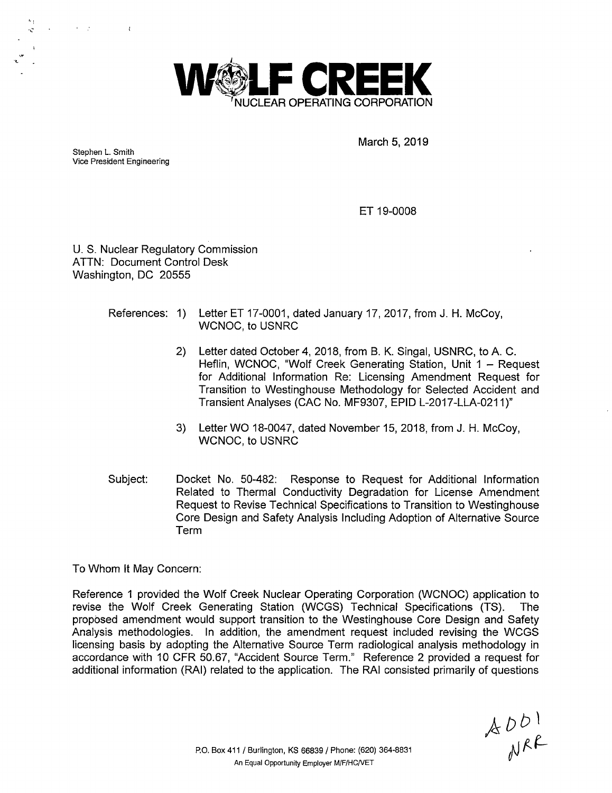

Stephen L. Smith Vice President Engineering

'I

...

March 5, 2019

ET 19-0008

U. S. Nuclear Regulatory Commission ATTN: Document Control Desk Washington, DC 20555

## References: 1) Letter ET 17-0001, dated January 17, 2017, from J. H. McCoy, WCNOC, to USNRC

- 2) Letter dated October 4, 2018, from B. K. Singal, USNRC, to A. C. Heflin, WCNOC, "Wolf Creek Generating Station, Unit 1 - Request for Additional Information Re: Licensing Amendment Request for Transition to Westinghouse Methodology for Selected Accident and Transient Analyses (CAC No. MF9307, EPID L-2017-LLA-0211)"
- 3) Letter WO 18-0047, dated November 15, 2018, from J. H. McCoy, WCNOC, to USNRC
- Subject: Docket No. 50-482: Response to Request for Additional Information Related to Thermal Conductivity Degradation for License Amendment Request to Revise Technical Specifications to Transition to Westinghouse Core Design and Safety Analysis Including Adoption of Alternative Source Term

To Whom It May Concern:

Reference 1 provided the Wolf Creek Nuclear Operating Corporation (WCNOC) application to revise the Wolf Creek Generating Station (WCGS) Technical Specifications (TS). The proposed amendment would support transition to the Westinghouse Core Design and Safety Analysis methodologies. In addition, the amendment request included revising the WCGS licensing basis by adopting the Alternative Source Term radiological analysis methodology in accordance with 10 CFR 50.67, "Accident Source Term." Reference 2 provided a request for additional information (RAI) related to the application. The RAI consisted primarily of questions

 $AD^{1}$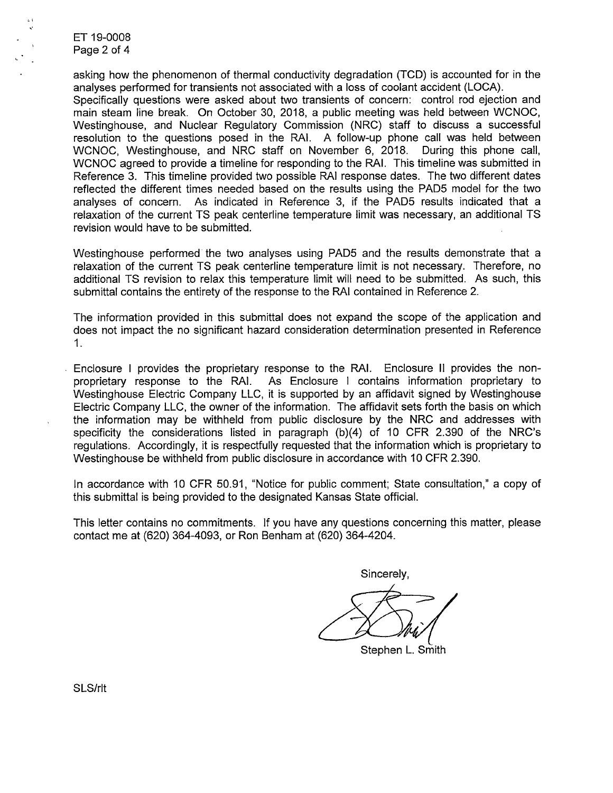ET 19-0008 Page 2 of 4

asking how the phenomenon of thermal conductivity degradation (TCD) is accounted for in the analyses performed for transients not associated with a loss of coolant accident (LOCA). Specifically questions were asked about two transients of concern: control rod ejection and main steam line break. On October 30, 2018, a public meeting was held between WCNOC, Westinghouse, and Nuclear Regulatory Commission (NRC) staff to discuss a successful resolution to the questions posed in the RAI. A follow-up phone call was held between WCNOC, Westinghouse, and NRC staff on November 6, 2018. During this phone call, WCNOC agreed to provide a timeline for responding to the RAI. This timeline was submitted in Reference 3. This timeline provided two possible RAI response dates. The two different dates reflected the different times needed based on the results using the PADS model for the two analyses of concern. As indicated in Reference 3, if the PADS results indicated that a relaxation of the current TS peak centerline temperature limit was necessary, an additional TS revision would have to be submitted.

Westinghouse performed the two analyses using PADS and the results demonstrate that a relaxation of the current TS peak centerline temperature limit is not necessary. Therefore, no additional TS revision to relax this temperature limit will need to be submitted. As such, this submittal contains the entirety of the response to the RAI contained in Reference 2.

The information provided in this submittal does not expand the scope of the application and does not impact the no significant hazard consideration determination presented in Reference 1.

Enclosure I provides the proprietary response to the RAI. Enclosure 11 provides the nonproprietary response to the RAI. As Enclosure I contains information proprietary to Westinghouse Electric Company LLC, it is supported by an affidavit signed by Westinghouse Electric Company LLC, the owner of the information. The affidavit sets forth the basis on which the information may be withheld from public disclosure by the NRC and addresses with specificity the considerations listed in paragraph  $(b)(4)$  of 10 CFR 2.390 of the NRC's regulations. Accordingly, it is respectfully requested that the information which is proprietary to Westinghouse be withheld from public disclosure in accordance with 10 CFR 2.390.

In accordance with 10 CFR 50.91, "Notice for public comment; State consultation," a copy of this submittal is being provided to the designated Kansas State official.

This letter contains no commitments. If you have any questions concerning this matter, please contact me at (620) 364-4093, or Ron Benham at (620) 364-4204.

Sincerely,

Stephen L. Smith

SLS/rlt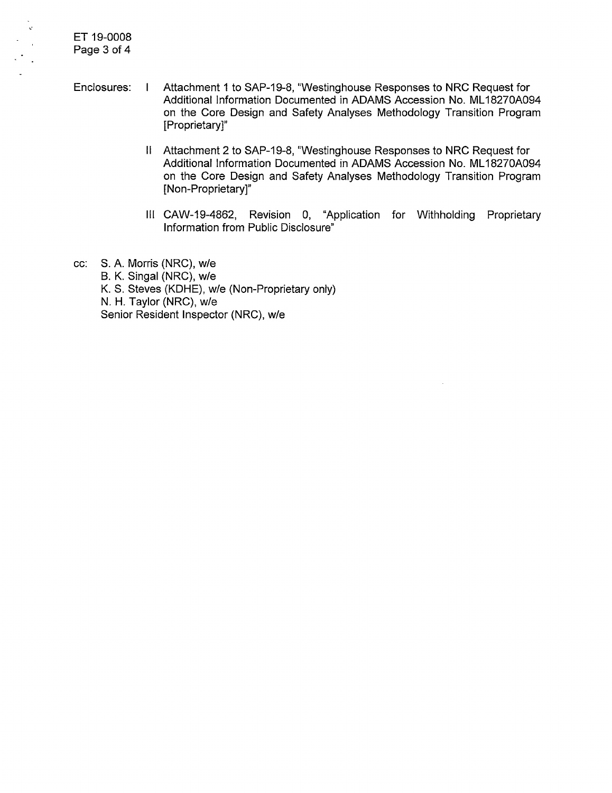ET 19-0008 Page 3 of 4

,·

- Enclosures: I Attachment 1 to SAP-19-8, "Westinghouse Responses to NRC Request for Additional Information Documented in ADAMS Accession No. ML 18270A094 on the Core Design and Safety Analyses Methodology Transition Program [Proprietary]"
	- II Attachment 2 to SAP-19-8, "Westinghouse Responses to NRC Request for Additional Information Documented in ADAMS Accession No. ML 18270A094 on the Core Design and Safety Analyses Methodology Transition Program [Non-Proprietary]"
	- Ill CAW-19-4862, Revision 0, "Application for Withholding Proprietary Information from Public Disclosure"
- cc: S. A. Morris (NRC), w/e B. K. Singal (NRC), w/e K. S. Steves (KDHE), w/e (Non-Proprietary only) N. H. Taylor (NRC), w/e Senior Resident Inspector (NRC), w/e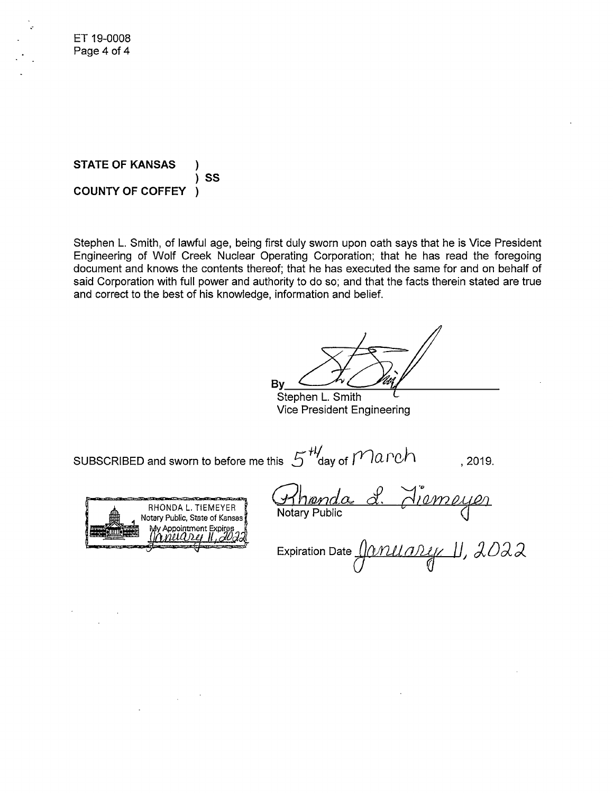**STATE OF KANSAS** ) ) **ss COUNTY OF COFFEY** )

Stephen L. Smith, of lawful age, being first duly sworn upon oath says that he is Vice President Engineering of Wolf Creek Nuclear Operating Corporation; that he has read the foregoing document and knows the contents thereof; that he has executed the same for and on behalf of said Corporation with full power and authority to do so; and that the facts therein stated are true and correct to the best of his knowledge, information and belief.

 $B_y\subset\mathcal{H}\subset\mathcal{V}$ Stephen L. Smith

Vice President Engineering

SUBSCRIBED and sworn to before me this  $5^{+4}$  day of  $Manch$ , 2019.



 $\mathcal{L}_{\text{max}}$  ,  $\mathcal{L}_{\text{max}}$ 

Expiration Date *<u>[</u>]Q/11L(a)11j/, ]], 2022*  $\mathsf{U}_-$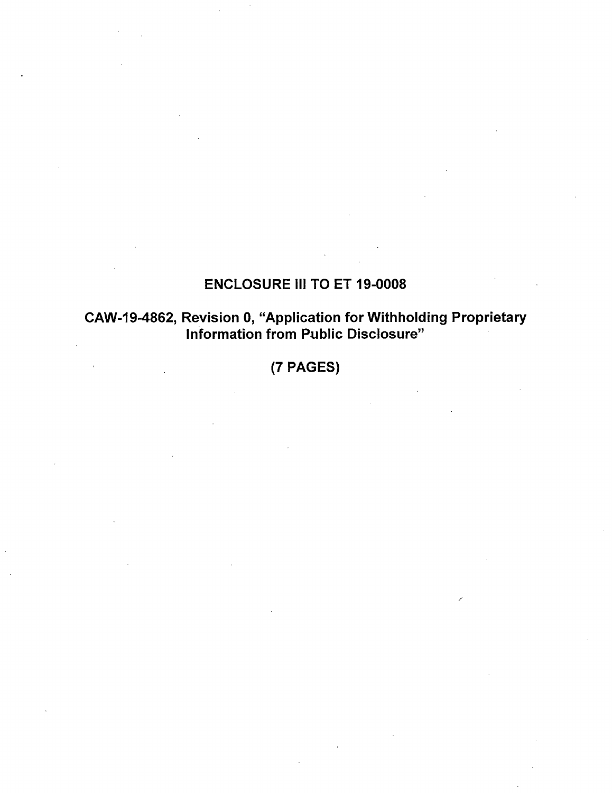# ENCLOSURE Ill TO ET 19-0008

## CAW-19-4862, Revision 0, "Application for Withholding Proprietary Information from Public Disclosure"

(7 PAGES)

/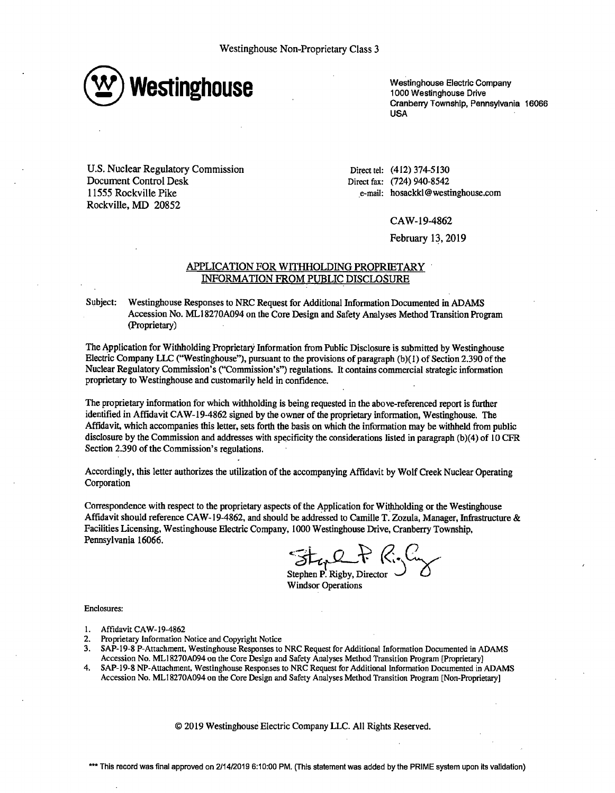

Westinghouse Electric Company 1000 Westinghouse Drive Cranberry Township, Pennsylvania 16066 **USA** 

U.S. Nuclear Regulatory Commission Document Control Desk 11555 Rockville Pike Rockville, MD 20852

Direct tel: (412) 374-5130 Direct fax: (724) 940-8542 .e-mail: hosackkl@westinghouse.com

CA W-19-4862

February 13, 2019

#### APPLICATION FOR WITHHOLDING PROPRIETARY INFORMATION FROM PUBLIC DISCLOSURE

Subject: Westinghouse Responses to NRC Request for Additional Information Documented in ADAMS Accession No. ML I 8270A094 on the Core Design and Safety Analyses Method Transition Program (Proprietary)

The Application for Withholding Proprietary Information from Public Disclosure is submitted by Westinghouse Electric Company LLC ("Westinghouse"), pursuant to the provisions of paragraph (b)(I) of Section 2.390 of the Nuclear Regulatory Commission's ("Commission's") regulations. It contains commercial strategic information proprietary to Westinghouse and customarily held in confidence.

The proprietary information for which withholding is being requested in the above-referenced report is further identified in Affidavit CAW-19-4862 signed by the owner of the proprietary information, Westinghouse. The Affidavit, which accompanies this letter, sets forth the basis on which the information may be withheld from public disclosure by the Commission and addresses with specificity the considerations listed in paragraph (b)(4) of ID CFR Section 2.390 of the Commission's regulations.

Accordingly, this letter authorizes the utilization of the accompanying Affidavit by Wolf Creek Nuclear Operating Corporation

Correspondence with respect to the proprietary aspects of the Application for Withholding or the Westinghouse Affidavit should reference CAW-19-4862, and should be addressed to Camille T. Zozula, Manager, Infrastructure & Facilities Licensing, Westinghouse Electric Company, 1000 Westinghouse Drive, Cranberry Township, Pennsylvania 16066.

Stal P R.C.

Stephen P. Rigby, Director  $\bigcup$  *B* Windsor Operations

Enclosures:

- 1. Affidavit CAW-19-4862
- 2. Proprietary Information Notice and Copyright Notice
- 3. SAP-19-8 P-Attachment, Westinghouse Responses to NRC Request for Additional Information Documented in ADAMS Accession No. MLl8270A094 on the Core Design and Safety Analyses Method Transition Program [Proprietary]
- 4. SAP-19-8 NP-Attachment, Westinghouse Responses to NRC Request for Additional Information Documented in ADAMS Accession No. ML18270A094 on the Core Design and Safety Analyses Method Transition Program [Non-Proprietary]

© 2019 Westinghouse Electric Company LLC. All Rights Reserved.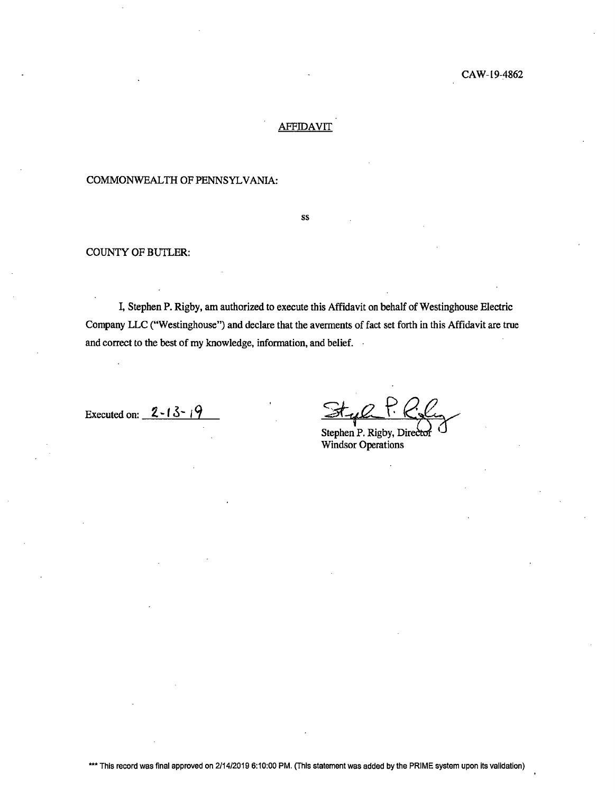## AFFIDAVIT

### COMMONWEALTH OF PENNSYLVANIA:

ss

#### COUNTY OF BUTLER:

I, Stephen P. Rigby, am authorized to execute this Affidavit on behalf of Westinghouse Electric Company LLC ("Westinghouse") and declare that the averments of fact set forth in this Affidavit are true and correct to the best of my knowledge, information, and belief.

Executed on: **2.** -**f 3-** <sup>i</sup>**9** 

Style P. Roly <u>Awl</u>

Windsor Operations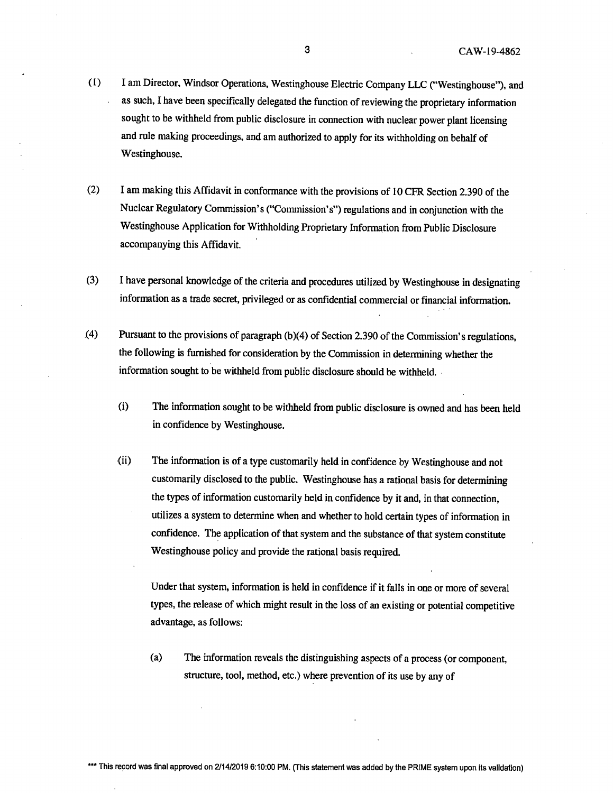- ( l) I am Director, Windsor Operations, Westinghouse Electric Company LLC ("Westinghouse"), and as such, I have been specifically delegated the function of reviewing the proprietary information sought to be withheld from public disclosure in connection with nuclear power plant licensing and rule making proceedings, and am authorized to apply for its withholding on behalf of Westinghouse.
- (2) I am making this Affidavit in conformance with the provisions of 10 CPR Section 2.390 of the Nuclear Regulatory Commission's ("Commission's") regulations and in conjunction with the Westinghouse Application for Withholding Proprietary Information from Public Disclosure accompanying this Affidavit.
- (3) I have personal knowledge of the criteria and procedures utilized by Westinghouse in designating information as a trade secret, privileged or as confidential commercial or financial information .
- . (4) Pursuant to the provisions of paragraph (b)(4) of Section 2.390 of the Commission's regulations, the following is furnished for consideration by the Commission in determining whether the information sought to be withheld from public disclosure should be withheld.
	- (i) The information sought to be withheld from public disclosure is owned and has been held in confidence by Westinghouse.
	- (ii) The information is of a type customarily held in confidence by Westinghouse and not customarily disclosed to the public. Westinghouse has a rational basis for determining the types of information customarily held in confidence by it and, in that connection, utilizes a system to determine when and whether to hold certain types of information in confidence. The application of that system and the substance of that system constitute Westinghouse policy and provide the rational basis required.

Under that system, information is held in confidence if it falls in one or more of several types, the release of which might result in the loss of an existing or potential competitive advantage, as follows:

(a) The information reveals the distinguishing aspects of a process (or component, structure, tool, method, etc.) where prevention of its use by any of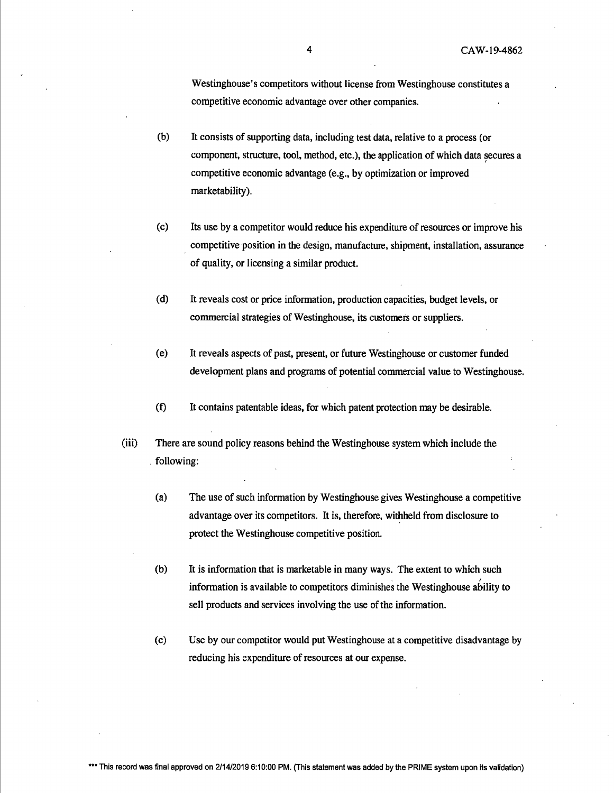Westinghouse's competitors without license from Westinghouse constitutes a competitive economic advantage over other companies.

- (b) It consists of supporting data, including test data, relative to a process (or component, structure, tool, method, etc.), the application of which data secures a competitive economic advantage (e.g., by optimization or improved marketability).
- (c) Its use by a competitor would reduce his expenditure of resources or improve his competitive position in the design, manufacture, shipment, installation, assurance of quality, or licensing a similar product.
- (d) It reveals cost or price information, production capacities, budget levels, or commercial strategies of Westinghouse, its customers or suppliers.
- (e) It reveals aspects of past, present, or future Westinghouse or customer funded development plans and programs of potential commercial value to Westinghouse.
- (t) It contains patentable ideas, for which patent protection may be desirable.
- (iii) There are sound policy reasons behind the Westinghouse system which include the . following:
	- (a) The use of such information by Westinghouse gives Westinghouse a competitive advantage over its competitors. It is, therefore, withheld from disclosure to protect the Westinghouse competitive position.
	- (b) It is information that is marketable in many ways. The extent to which such *I*  information is available to competitors diminishes the Westinghouse ability to sell products and services involving the use of the information.
	- (c) Use by our competitor would put Westinghouse at a competitive disadvantage by reducing his expenditure of resources at our expense.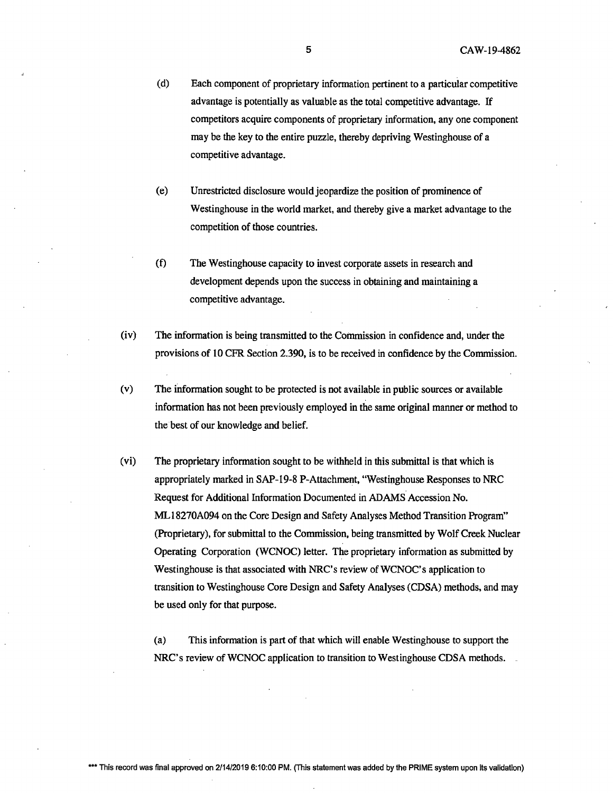- (d) Each component of proprietary information pertinent to a particular competitive advantage is potentially as valuable as the total competitive advantage. If competitors acquire components of proprietary information, any one component may be the key to the entire puzzle, thereby depriving Westinghouse of a competitive advantage.
- (e) Unrestricted disclosure would jeopardize the position of prominence of Westinghouse in the world market, and thereby give a market advantage to the competition of those countries.
- (f) The Westinghouse capacity to invest corporate assets in research and development depends upon the success in obtaining and maintaining a competitive advantage.
- (iv) The information is being transmitted to the Commission in confidence and, under the provisions of 10 CFR Section 2.390, is to be received in confidence by the Commission.
- (v) The information sought to be protected is not available in public sources or available information has not been previously employed in the same original manner or method to the best of our knowledge and belief.
- (vi) The proprietary information sought to be withheld in this submittal is that which is appropriately marked in SAP-19-8 P-Attachment, "Westinghouse Responses to NRC Request for Additional Information Documented in ADAMS Accession No. ML18270A094 on the Core Design and Safety Analyses Method Transition Program" (Proprietary), for submittal to the Commission, being transmitted by Wolf Creek Nuclear Operating Corporation (WCNOC) letter. The proprietary information as submitted by Westinghouse is that associated with NRC's review of WCNOC's application to transition to Westinghouse Core Design and Safety Analyses (CDSA) methods, and may be used only for that purpose.

(a) This information is part of that which will enable Westinghouse to support the NRC's review of WCNOC application to transition to Westinghouse CDSA methods.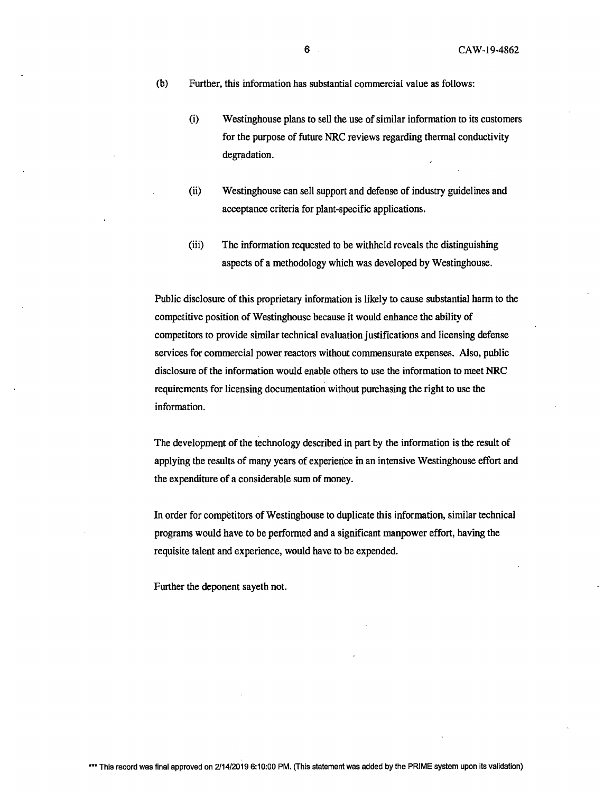(b) Further, this information has substantial commercial value as follows:

- (i) Westinghouse plans to sell the use of similar information to its customers for the purpose of future NRC reviews regarding thermal conductivity degradation.
- (ii) Westinghouse can sell support and defense of industry guidelines and acceptance criteria for plant-specific applications.
- (iii) The information requested to be withheld reveals the distinguishing aspects of a methodology which was developed by Westinghouse.

Public disclosure of this proprietary information is likely to cause substantial harm to the competitive position of Westinghouse because it would enhance the ability of competitors to provide similar technical evaluation justifications and licensing defense services for commercial power reactors without commensurate expenses. Also, public disclosure of the information would enable others to use the information to meet NRC requirements for licensing documentation without purchasing the right to use the information.

The development of the technology described in part by the information is the result of applying the results of many years of experience in an intensive Westinghouse effort and the expenditure of a considerable sum of money.

In order for competitors of Westinghouse to duplicate this information, similar technical programs would have to be performed and a significant manpower effort, having the requisite talent and experience, would have to be expended.

Further the deponent sayeth not.